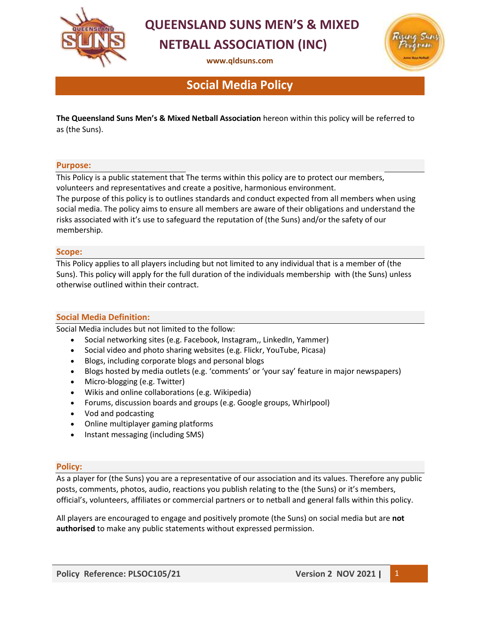

# **QUEENSLAND SUNS MEN'S & MIXED NETBALL ASSOCIATION (INC)**

**[www.qldsuns.com](http://www.qldsuns.com/)**



## **Social Media Policy**

**The Queensland Suns Men's & Mixed Netball Association** hereon within this policy will be referred to as (the Suns).

#### **Purpose:**

This Policy is a public statement that The terms within this policy are to protect our members, volunteers and representatives and create a positive, harmonious environment.

The purpose of this policy is to outlines standards and conduct expected from all members when using social media. The policy aims to ensure all members are aware of their obligations and understand the risks associated with it's use to safeguard the reputation of (the Suns) and/or the safety of our membership.

#### **Scope:**

This Policy applies to all players including but not limited to any individual that is a member of (the Suns). This policy will apply for the full duration of the individuals membership with (the Suns) unless otherwise outlined within their contract.

### **Social Media Definition:**

Social Media includes but not limited to the follow:

- Social networking sites (e.g. Facebook, Instagram,, LinkedIn, Yammer)
- Social video and photo sharing websites (e.g. Flickr, YouTube, Picasa)
- Blogs, including corporate blogs and personal blogs
- Blogs hosted by media outlets (e.g. 'comments' or 'your say' feature in major newspapers)
- Micro-blogging (e.g. Twitter)
- Wikis and online collaborations (e.g. Wikipedia)
- Forums, discussion boards and groups (e.g. Google groups, Whirlpool)
- Vod and podcasting
- Online multiplayer gaming platforms
- Instant messaging (including SMS)

### **Policy:**

As a player for (the Suns) you are a representative of our association and its values. Therefore any public posts, comments, photos, audio, reactions you publish relating to the (the Suns) or it's members, official's, volunteers, affiliates or commercial partners or to netball and general falls within this policy.

All players are encouraged to engage and positively promote (the Suns) on social media but are **not authorised** to make any public statements without expressed permission.